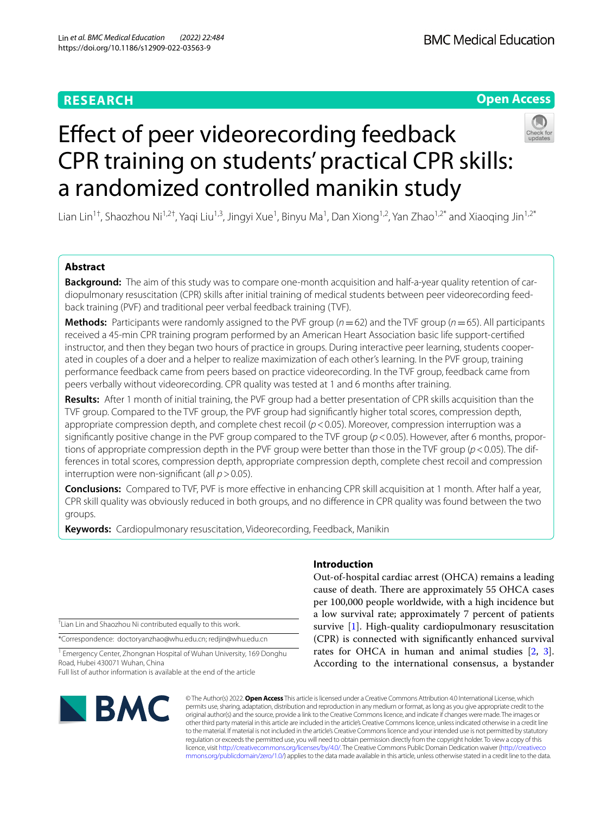# **RESEARCH**

# **Open Access**

# Efect of peer videorecording feedback CPR training on students' practical CPR skills: a randomized controlled manikin study

Lian Lin<sup>1†</sup>, Shaozhou Ni<sup>1,2†</sup>, Yaqi Liu<sup>1,3</sup>, Jingyi Xue<sup>1</sup>, Binyu Ma<sup>1</sup>, Dan Xiong<sup>1,2</sup>, Yan Zhao<sup>1,2\*</sup> and Xiaoqing Jin<sup>1,2\*</sup>

# **Abstract**

**Background:** The aim of this study was to compare one-month acquisition and half-a-year quality retention of cardiopulmonary resuscitation (CPR) skills after initial training of medical students between peer videorecording feedback training (PVF) and traditional peer verbal feedback training (TVF).

**Methods:** Participants were randomly assigned to the PVF group  $(n=62)$  and the TVF group  $(n=65)$ . All participants received a 45-min CPR training program performed by an American Heart Association basic life support-certifed instructor, and then they began two hours of practice in groups. During interactive peer learning, students cooperated in couples of a doer and a helper to realize maximization of each other's learning. In the PVF group, training performance feedback came from peers based on practice videorecording. In the TVF group, feedback came from peers verbally without videorecording. CPR quality was tested at 1 and 6 months after training.

**Results:** After 1 month of initial training, the PVF group had a better presentation of CPR skills acquisition than the TVF group. Compared to the TVF group, the PVF group had signifcantly higher total scores, compression depth, appropriate compression depth, and complete chest recoil ( $p$  < 0.05). Moreover, compression interruption was a significantly positive change in the PVF group compared to the TVF group ( $p$  < 0.05). However, after 6 months, proportions of appropriate compression depth in the PVF group were better than those in the TVF group (*p*<0.05). The differences in total scores, compression depth, appropriate compression depth, complete chest recoil and compression interruption were non-signifcant (all *p*>0.05).

**Conclusions:** Compared to TVF, PVF is more efective in enhancing CPR skill acquisition at 1 month. After half a year, CPR skill quality was obviously reduced in both groups, and no diference in CPR quality was found between the two groups.

**Keywords:** Cardiopulmonary resuscitation, Videorecording, Feedback, Manikin

† Lian Lin and Shaozhou Ni contributed equally to this work.

\*Correspondence: doctoryanzhao@whu.edu.cn; redjin@whu.edu.cn

<sup>1</sup> Emergency Center, Zhongnan Hospital of Wuhan University, 169 Donghu Road, Hubei 430071 Wuhan, China

Full list of author information is available at the end of the article



# **Introduction**

Out-of-hospital cardiac arrest (OHCA) remains a leading cause of death. There are approximately 55 OHCA cases per 100,000 people worldwide, with a high incidence but a low survival rate; approximately 7 percent of patients survive [\[1](#page-5-0)]. High-quality cardiopulmonary resuscitation (CPR) is connected with signifcantly enhanced survival rates for OHCA in human and animal studies [\[2](#page-5-1), [3](#page-5-2)]. According to the international consensus, a bystander

© The Author(s) 2022. **Open Access** This article is licensed under a Creative Commons Attribution 4.0 International License, which permits use, sharing, adaptation, distribution and reproduction in any medium or format, as long as you give appropriate credit to the original author(s) and the source, provide a link to the Creative Commons licence, and indicate if changes were made. The images or other third party material in this article are included in the article's Creative Commons licence, unless indicated otherwise in a credit line to the material. If material is not included in the article's Creative Commons licence and your intended use is not permitted by statutory regulation or exceeds the permitted use, you will need to obtain permission directly from the copyright holder. To view a copy of this licence, visit [http://creativecommons.org/licenses/by/4.0/.](http://creativecommons.org/licenses/by/4.0/) The Creative Commons Public Domain Dedication waiver ([http://creativeco](http://creativecommons.org/publicdomain/zero/1.0/) [mmons.org/publicdomain/zero/1.0/](http://creativecommons.org/publicdomain/zero/1.0/)) applies to the data made available in this article, unless otherwise stated in a credit line to the data.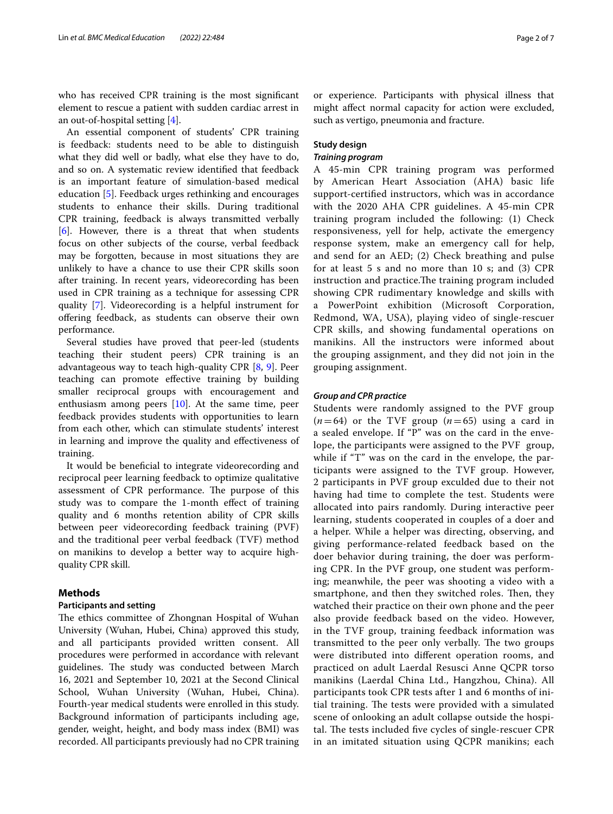who has received CPR training is the most signifcant element to rescue a patient with sudden cardiac arrest in an out-of-hospital setting [[4\]](#page-5-3).

An essential component of students' CPR training is feedback: students need to be able to distinguish what they did well or badly, what else they have to do, and so on. A systematic review identifed that feedback is an important feature of simulation-based medical education [\[5\]](#page-5-4). Feedback urges rethinking and encourages students to enhance their skills. During traditional CPR training, feedback is always transmitted verbally [[6\]](#page-5-5). However, there is a threat that when students focus on other subjects of the course, verbal feedback may be forgotten, because in most situations they are unlikely to have a chance to use their CPR skills soon after training. In recent years, videorecording has been used in CPR training as a technique for assessing CPR quality [\[7](#page-5-6)]. Videorecording is a helpful instrument for ofering feedback, as students can observe their own performance.

Several studies have proved that peer-led (students teaching their student peers) CPR training is an advantageous way to teach high-quality CPR [[8,](#page-5-7) [9\]](#page-5-8). Peer teaching can promote efective training by building smaller reciprocal groups with encouragement and enthusiasm among peers [\[10\]](#page-5-9). At the same time, peer feedback provides students with opportunities to learn from each other, which can stimulate students' interest in learning and improve the quality and efectiveness of training.

It would be beneficial to integrate videorecording and reciprocal peer learning feedback to optimize qualitative assessment of CPR performance. The purpose of this study was to compare the 1-month efect of training quality and 6 months retention ability of CPR skills between peer videorecording feedback training (PVF) and the traditional peer verbal feedback (TVF) method on manikins to develop a better way to acquire highquality CPR skill.

#### **Methods**

## **Participants and setting**

The ethics committee of Zhongnan Hospital of Wuhan University (Wuhan, Hubei, China) approved this study, and all participants provided written consent. All procedures were performed in accordance with relevant guidelines. The study was conducted between March 16, 2021 and September 10, 2021 at the Second Clinical School, Wuhan University (Wuhan, Hubei, China). Fourth-year medical students were enrolled in this study. Background information of participants including age, gender, weight, height, and body mass index (BMI) was recorded. All participants previously had no CPR training or experience. Participants with physical illness that might afect normal capacity for action were excluded, such as vertigo, pneumonia and fracture.

#### **Study design**

#### *Training program*

A 45-min CPR training program was performed by American Heart Association (AHA) basic life support-certifed instructors, which was in accordance with the 2020 AHA CPR guidelines. A 45-min CPR training program included the following: (1) Check responsiveness, yell for help, activate the emergency response system, make an emergency call for help, and send for an AED; (2) Check breathing and pulse for at least  $5 s$  and no more than  $10 s$ ; and  $(3)$  CPR instruction and practice. The training program included showing CPR rudimentary knowledge and skills with a PowerPoint exhibition (Microsoft Corporation, Redmond, WA, USA), playing video of single-rescuer CPR skills, and showing fundamental operations on manikins. All the instructors were informed about the grouping assignment, and they did not join in the grouping assignment.

#### *Group and CPR practice*

Students were randomly assigned to the PVF group  $(n=64)$  or the TVF group  $(n=65)$  using a card in a sealed envelope. If "P" was on the card in the envelope, the participants were assigned to the PVF group, while if "T" was on the card in the envelope, the participants were assigned to the TVF group. However, 2 participants in PVF group exculded due to their not having had time to complete the test. Students were allocated into pairs randomly. During interactive peer learning, students cooperated in couples of a doer and a helper. While a helper was directing, observing, and giving performance-related feedback based on the doer behavior during training, the doer was performing CPR. In the PVF group, one student was performing; meanwhile, the peer was shooting a video with a smartphone, and then they switched roles. Then, they watched their practice on their own phone and the peer also provide feedback based on the video. However, in the TVF group, training feedback information was transmitted to the peer only verbally. The two groups were distributed into diferent operation rooms, and practiced on adult Laerdal Resusci Anne QCPR torso manikins (Laerdal China Ltd., Hangzhou, China). All participants took CPR tests after 1 and 6 months of initial training. The tests were provided with a simulated scene of onlooking an adult collapse outside the hospital. The tests included five cycles of single-rescuer CPR in an imitated situation using QCPR manikins; each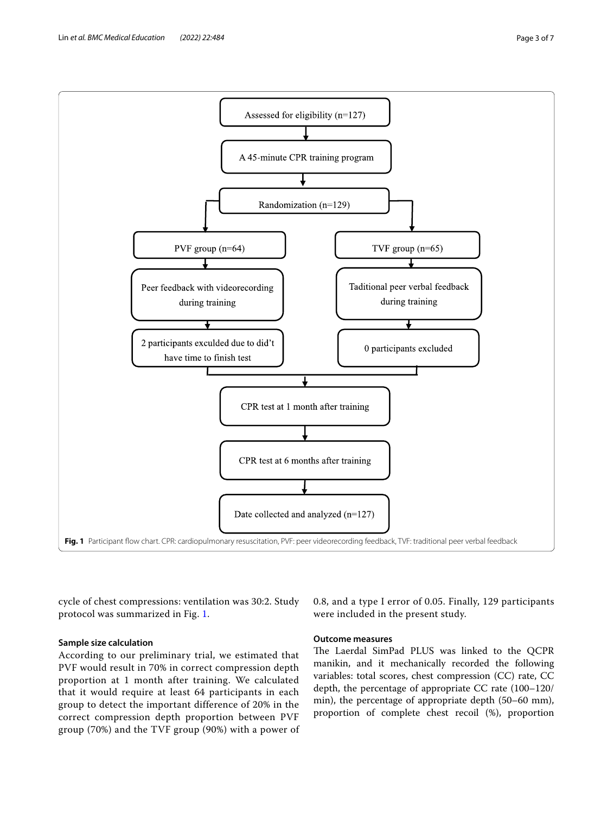<span id="page-2-0"></span>cycle of chest compressions: ventilation was 30:2. Study protocol was summarized in Fig. [1](#page-2-0).

# **Sample size calculation**

According to our preliminary trial, we estimated that PVF would result in 70% in correct compression depth proportion at 1 month after training. We calculated that it would require at least 64 participants in each group to detect the important difference of 20% in the correct compression depth proportion between PVF group (70%) and the TVF group (90%) with a power of

0.8, and a type I error of 0.05. Finally, 129 participants were included in the present study.

# **Outcome measures**

The Laerdal SimPad PLUS was linked to the QCPR manikin, and it mechanically recorded the following variables: total scores, chest compression (CC) rate, CC depth, the percentage of appropriate CC rate (100–120/ min), the percentage of appropriate depth (50–60 mm), proportion of complete chest recoil (%), proportion

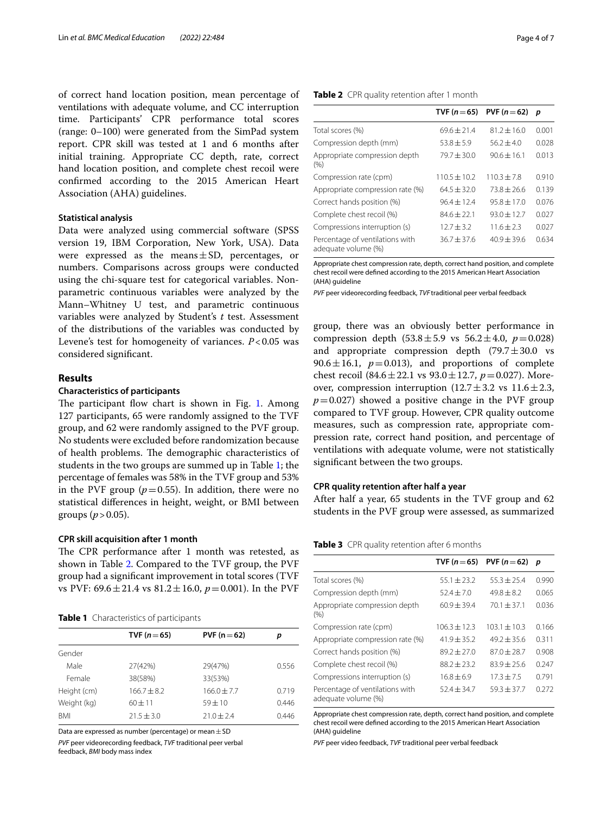of correct hand location position, mean percentage of ventilations with adequate volume, and CC interruption time. Participants' CPR performance total scores (range: 0–100) were generated from the SimPad system report. CPR skill was tested at 1 and 6 months after initial training. Appropriate CC depth, rate, correct hand location position, and complete chest recoil were confrmed according to the 2015 American Heart Association (AHA) guidelines.

#### **Statistical analysis**

Data were analyzed using commercial software (SPSS version 19, IBM Corporation, New York, USA). Data were expressed as the means $\pm$ SD, percentages, or numbers. Comparisons across groups were conducted using the chi-square test for categorical variables. Nonparametric continuous variables were analyzed by the Mann–Whitney U test, and parametric continuous variables were analyzed by Student's *t* test. Assessment of the distributions of the variables was conducted by Levene's test for homogeneity of variances. *P*<0.05 was considered signifcant.

#### **Results**

#### **Characteristics of participants**

The participant flow chart is shown in Fig. [1](#page-2-0). Among 127 participants, 65 were randomly assigned to the TVF group, and 62 were randomly assigned to the PVF group. No students were excluded before randomization because of health problems. The demographic characteristics of students in the two groups are summed up in Table [1;](#page-3-0) the percentage of females was 58% in the TVF group and 53% in the PVF group ( $p=0.55$ ). In addition, there were no statistical diferences in height, weight, or BMI between groups ( $p > 0.05$ ).

#### **CPR skill acquisition after 1 month**

The CPR performance after 1 month was retested, as shown in Table [2](#page-3-1). Compared to the TVF group, the PVF group had a signifcant improvement in total scores (TVF vs PVF: 69.6±21.4 vs 81.2±16.0, *p*=0.001). In the PVF

<span id="page-3-0"></span>

|  |  |  |  | Table 1 Characteristics of participants |
|--|--|--|--|-----------------------------------------|
|--|--|--|--|-----------------------------------------|

| PVF ( $n = 62$ ) | р     |
|------------------|-------|
|                  |       |
| 29(47%)          | 0.556 |
| 33(53%)          |       |
| $166.0 \pm 7.7$  | 0.719 |
| $59 + 10$        | 0.446 |
| $71.0 + 2.4$     | 0.446 |
|                  |       |

Data are expressed as number (percentage) or mean  $\pm$  SD

*PVF* peer videorecording feedback, *TVF* traditional peer verbal feedback, *BMI* body mass index

| ÷ |
|---|
|   |
|   |
|   |

<span id="page-3-1"></span>

|                                                        | TVF ( $n = 65$ ) | PVF $(n=62)$    | р     |
|--------------------------------------------------------|------------------|-----------------|-------|
| Total scores (%)                                       | $69.6 + 21.4$    | $81.2 \pm 16.0$ | 0.001 |
| Compression depth (mm)                                 | $53.8 \pm 5.9$   | $56.2 + 4.0$    | 0.028 |
| Appropriate compression depth<br>(%)                   | $79.7 + 30.0$    | $90.6 + 16.1$   | 0.013 |
| Compression rate (cpm)                                 | $110.5 + 10.2$   | $110.3 + 7.8$   | 0.910 |
| Appropriate compression rate (%)                       | $64.5 + 32.0$    | $73.8 + 26.6$   | 0.139 |
| Correct hands position (%)                             | $96.4 + 12.4$    | $95.8 + 17.0$   | 0.076 |
| Complete chest recoil (%)                              | $84.6 + 22.1$    | $93.0 + 12.7$   | 0.027 |
| Compressions interruption (s)                          | $12.7 + 3.2$     | $11.6 + 2.3$    | 0.027 |
| Percentage of ventilations with<br>adequate volume (%) | $36.7 \pm 37.6$  | $40.9 + 39.6$   | 0.634 |

Appropriate chest compression rate, depth, correct hand position, and complete chest recoil were defned according to the 2015 American Heart Association (AHA) guideline

*PVF* peer videorecording feedback, *TVF* traditional peer verbal feedback

group, there was an obviously better performance in compression depth  $(53.8 \pm 5.9 \text{ vs } 56.2 \pm 4.0, p = 0.028)$ and appropriate compression depth  $(79.7 \pm 30.0 \text{ vs } 10^{-10})$ 90.6 $\pm$ 16.1,  $p=0.013$ ), and proportions of complete chest recoil (84.6 ± 22.1 vs  $93.0 \pm 12.7$ ,  $p = 0.027$ ). Moreover, compression interruption  $(12.7 \pm 3.2 \text{ vs } 11.6 \pm 2.3,$  $p=0.027$ ) showed a positive change in the PVF group compared to TVF group. However, CPR quality outcome measures, such as compression rate, appropriate compression rate, correct hand position, and percentage of ventilations with adequate volume, were not statistically signifcant between the two groups.

#### **CPR quality retention after half a year**

After half a year, 65 students in the TVF group and 62 students in the PVF group were assessed, as summarized

#### <span id="page-3-2"></span>**Table 3** CPR quality retention after 6 months

|                                                        | TVF $(n=65)$   | PVF $(n=62)$     | р     |
|--------------------------------------------------------|----------------|------------------|-------|
| Total scores (%)                                       | $55.1 + 23.2$  | $55.3 + 25.4$    | 0.990 |
| Compression depth (mm)                                 | $52.4 + 7.0$   | $49.8 + 8.2$     | 0.065 |
| Appropriate compression depth<br>(9/0)                 | $60.9 + 39.4$  | $70.1 + 37.1$    | 0.036 |
| Compression rate (cpm)                                 | $106.3 + 12.3$ | $103.1 \pm 10.3$ | 0.166 |
| Appropriate compression rate (%)                       | $41.9 + 35.2$  | $49.2 + 35.6$    | 0.311 |
| Correct hands position (%)                             | $89.2 + 27.0$  | $87.0 + 28.7$    | 0.908 |
| Complete chest recoil (%)                              | $88.2 + 23.2$  | $83.9 + 25.6$    | 0.247 |
| Compressions interruption (s)                          | $16.8 + 6.9$   | $17.3 + 7.5$     | 0.791 |
| Percentage of ventilations with<br>adequate volume (%) | $52.4 + 34.7$  | $59.3 \pm 37.7$  | 0.272 |

Appropriate chest compression rate, depth, correct hand position, and complete chest recoil were defned according to the 2015 American Heart Association (AHA) guideline

*PVF* peer video feedback, *TVF* traditional peer verbal feedback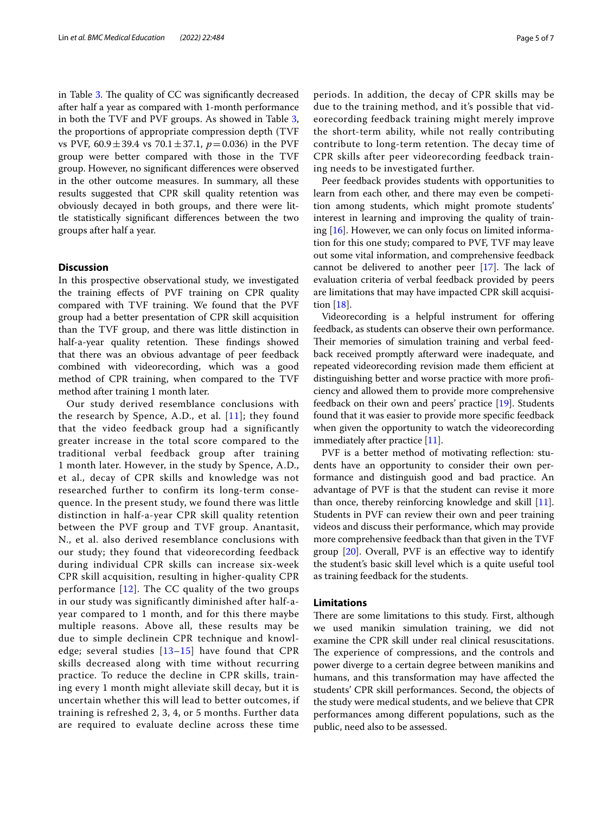in Table [3.](#page-3-2) The quality of CC was significantly decreased after half a year as compared with 1-month performance in both the TVF and PVF groups. As showed in Table [3](#page-3-2), the proportions of appropriate compression depth (TVF vs PVF, 60.9±39.4 vs 70.1±37.1, *p*=0.036) in the PVF group were better compared with those in the TVF group. However, no signifcant diferences were observed in the other outcome measures. In summary, all these results suggested that CPR skill quality retention was obviously decayed in both groups, and there were little statistically signifcant diferences between the two groups after half a year.

#### **Discussion**

In this prospective observational study, we investigated the training efects of PVF training on CPR quality compared with TVF training. We found that the PVF group had a better presentation of CPR skill acquisition than the TVF group, and there was little distinction in half-a-year quality retention. These findings showed that there was an obvious advantage of peer feedback combined with videorecording, which was a good method of CPR training, when compared to the TVF method after training 1 month later.

Our study derived resemblance conclusions with the research by Spence, A.D., et al.  $[11]$ ; they found that the video feedback group had a significantly greater increase in the total score compared to the traditional verbal feedback group after training 1 month later. However, in the study by Spence, A.D., et al., decay of CPR skills and knowledge was not researched further to confirm its long-term consequence. In the present study, we found there was little distinction in half-a-year CPR skill quality retention between the PVF group and TVF group. Anantasit, N., et al. also derived resemblance conclusions with our study; they found that videorecording feedback during individual CPR skills can increase six-week CPR skill acquisition, resulting in higher-quality CPR performance [\[12\]](#page-5-11). The CC quality of the two groups in our study was significantly diminished after half-ayear compared to 1 month, and for this there maybe multiple reasons. Above all, these results may be due to simple declinein CPR technique and knowledge; several studies  $[13-15]$  $[13-15]$  have found that CPR skills decreased along with time without recurring practice. To reduce the decline in CPR skills, training every 1 month might alleviate skill decay, but it is uncertain whether this will lead to better outcomes, if training is refreshed 2, 3, 4, or 5 months. Further data are required to evaluate decline across these time periods. In addition, the decay of CPR skills may be due to the training method, and it's possible that videorecording feedback training might merely improve the short-term ability, while not really contributing contribute to long-term retention. The decay time of CPR skills after peer videorecording feedback training needs to be investigated further.

Peer feedback provides students with opportunities to learn from each other, and there may even be competition among students, which might promote students' interest in learning and improving the quality of training [\[16](#page-5-14)]. However, we can only focus on limited information for this one study; compared to PVF, TVF may leave out some vital information, and comprehensive feedback cannot be delivered to another peer  $[17]$  $[17]$  $[17]$ . The lack of evaluation criteria of verbal feedback provided by peers are limitations that may have impacted CPR skill acquisition [[18\]](#page-6-0).

Videorecording is a helpful instrument for offering feedback, as students can observe their own performance. Their memories of simulation training and verbal feedback received promptly afterward were inadequate, and repeated videorecording revision made them efficient at distinguishing better and worse practice with more profciency and allowed them to provide more comprehensive feedback on their own and peers' practice [[19\]](#page-6-1). Students found that it was easier to provide more specifc feedback when given the opportunity to watch the videorecording immediately after practice [[11](#page-5-10)].

PVF is a better method of motivating reflection: students have an opportunity to consider their own performance and distinguish good and bad practice. An advantage of PVF is that the student can revise it more than once, thereby reinforcing knowledge and skill [\[11](#page-5-10)]. Students in PVF can review their own and peer training videos and discuss their performance, which may provide more comprehensive feedback than that given in the TVF group [\[20\]](#page-6-2). Overall, PVF is an efective way to identify the student's basic skill level which is a quite useful tool as training feedback for the students.

#### **Limitations**

There are some limitations to this study. First, although we used manikin simulation training, we did not examine the CPR skill under real clinical resuscitations. The experience of compressions, and the controls and power diverge to a certain degree between manikins and humans, and this transformation may have afected the students' CPR skill performances. Second, the objects of the study were medical students, and we believe that CPR performances among diferent populations, such as the public, need also to be assessed.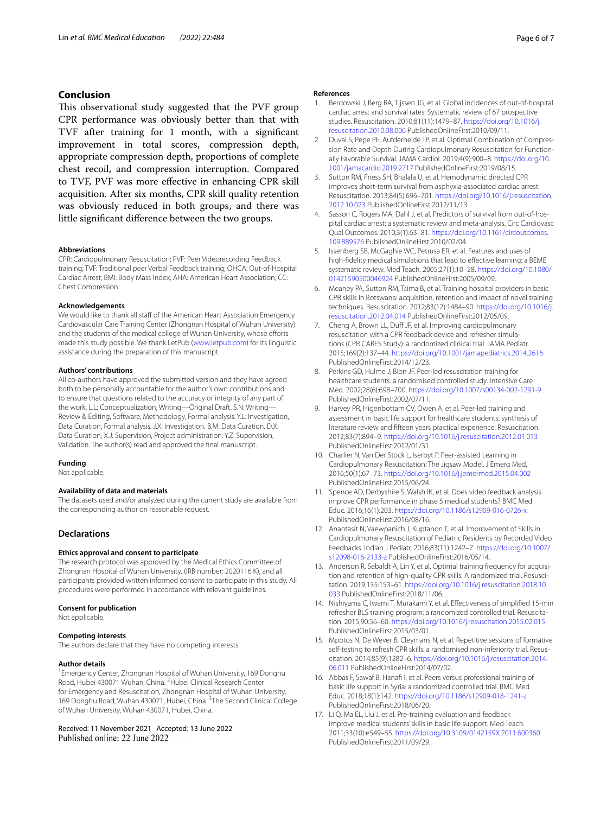### **Conclusion**

This observational study suggested that the PVF group CPR performance was obviously better than that with TVF after training for 1 month, with a signifcant improvement in total scores, compression depth, appropriate compression depth, proportions of complete chest recoil, and compression interruption. Compared to TVF, PVF was more efective in enhancing CPR skill acquisition. After six months, CPR skill quality retention was obviously reduced in both groups, and there was little signifcant diference between the two groups.

#### **Abbreviations**

CPR: Cardiopulmonary Resuscitation; PVF: Peer Videorecording Feedback training; TVF: Traditional peer Verbal Feedback training; OHCA: Out-of-Hospital Cardiac Arrest; BMI: Body Mass Index; AHA: American Heart Association; CC: Chest Compression.

#### **Acknowledgements**

We would like to thank all staff of the American Heart Association Emergency Cardiovascular Care Training Center (Zhongnan Hospital of Wuhan University) and the students of the medical college of Wuhan University, whose efforts made this study possible. We thank LetPub ([www.letpub.com\)](http://www.letpub.com) for its linguistic assistance during the preparation of this manuscript.

#### **Authors' contributions**

All co-authors have approved the submitted version and they have agreed both to be personally accountable for the author's own contributions and to ensure that questions related to the accuracy or integrity of any part of the work. L.L: Conceptualization, Writing—Original Draft. S.N: Writing— Review & Editing, Software, Methodology, Formal analysis. Y.L: Investigation, Data Curation, Formal analysis. J.X: Investigation. B.M: Data Curation. D.X: Data Curation, X.J: Supervision, Project administration. Y.Z: Supervision, Validation. The author(s) read and approved the fnal manuscript.

#### **Funding**

Not applicable.

#### **Availability of data and materials**

The datasets used and/or analyzed during the current study are available from the corresponding author on reasonable request.

#### **Declarations**

#### **Ethics approval and consent to participate**

The research protocol was approved by the Medical Ethics Committee of Zhongnan Hospital of Wuhan University. (IRB number: 2020116 K), and all participants provided written informed consent to participate in this study. All procedures were performed in accordance with relevant guidelines.

#### **Consent for publication**

Not applicable.

#### **Competing interests**

The authors declare that they have no competing interests.

#### **Author details**

<sup>1</sup> Emergency Center, Zhongnan Hospital of Wuhan University, 169 Donghu Road, Hubei 430071 Wuhan, China. <sup>2</sup> Hubei Clinical Research Center for Emergency and Resuscitation, Zhongnan Hospital of Wuhan University, 169 Donghu Road, Wuhan 430071, Hubei, China. <sup>3</sup>The Second Clinical College of Wuhan University, Wuhan 430071, Hubei, China.

#### Received: 11 November 2021 Accepted: 13 June 2022 Published online: 22 June 2022

#### **References**

- <span id="page-5-0"></span>1. Berdowski J, Berg RA, Tijssen JG, et al. Global incidences of out-of-hospital cardiac arrest and survival rates: Systematic review of 67 prospective studies. Resuscitation. 2010;81(11):1479–87. [https://doi.org/10.1016/j.](https://doi.org/10.1016/j.resuscitation.2010.08.006) [resuscitation.2010.08.006](https://doi.org/10.1016/j.resuscitation.2010.08.006) PublishedOnlineFirst:2010/09/11.
- <span id="page-5-1"></span>2. Duval S, Pepe PE, Aufderheide TP, et al. Optimal Combination of Compression Rate and Depth During Cardiopulmonary Resuscitation for Functionally Favorable Survival. JAMA Cardiol. 2019;4(9):900–8. [https://doi.org/10.](https://doi.org/10.1001/jamacardio.2019.2717) [1001/jamacardio.2019.2717](https://doi.org/10.1001/jamacardio.2019.2717) PublishedOnlineFirst:2019/08/15.
- <span id="page-5-2"></span>3. Sutton RM, Friess SH, Bhalala U, et al. Hemodynamic directed CPR improves short-term survival from asphyxia-associated cardiac arrest. Resuscitation. 2013;84(5):696–701. [https://doi.org/10.1016/j.resuscitation.](https://doi.org/10.1016/j.resuscitation.2012.10.023) [2012.10.023](https://doi.org/10.1016/j.resuscitation.2012.10.023) PublishedOnlineFirst:2012/11/13.
- <span id="page-5-3"></span>4. Sasson C, Rogers MA, Dahl J, et al. Predictors of survival from out-of-hospital cardiac arrest: a systematic review and meta-analysis. Circ Cardiovasc Qual Outcomes. 2010;3(1):63–81. [https://doi.org/10.1161/circoutcomes.](https://doi.org/10.1161/circoutcomes.109.889576) [109.889576](https://doi.org/10.1161/circoutcomes.109.889576) PublishedOnlineFirst:2010/02/04.
- <span id="page-5-4"></span>5. Issenberg SB, McGaghie WC, Petrusa ER, et al. Features and uses of high-fdelity medical simulations that lead to efective learning: a BEME systematic review. Med Teach. 2005;27(1):10–28. [https://doi.org/10.1080/](https://doi.org/10.1080/01421590500046924) [01421590500046924](https://doi.org/10.1080/01421590500046924) PublishedOnlineFirst:2005/09/09.
- <span id="page-5-5"></span>6. Meaney PA, Sutton RM, Tsima B, et al. Training hospital providers in basic CPR skills in Botswana: acquisition, retention and impact of novel training techniques. Resuscitation. 2012;83(12):1484–90. [https://doi.org/10.1016/j.](https://doi.org/10.1016/j.resuscitation.2012.04.014) [resuscitation.2012.04.014](https://doi.org/10.1016/j.resuscitation.2012.04.014) PublishedOnlineFirst:2012/05/09.
- <span id="page-5-6"></span>7. Cheng A, Brown LL, Duff JP, et al. Improving cardiopulmonary resuscitation with a CPR feedback device and refresher simulations (CPR CARES Study): a randomized clinical trial. JAMA Pediatr. 2015;169(2):137–44. <https://doi.org/10.1001/jamapediatrics.2014.2616> PublishedOnlineFirst:2014/12/23.
- <span id="page-5-7"></span>8. Perkins GD, Hulme J, Bion JF. Peer-led resuscitation training for healthcare students: a randomised controlled study. Intensive Care Med. 2002;28(6):698–700.<https://doi.org/10.1007/s00134-002-1291-9> PublishedOnlineFirst:2002/07/11.
- <span id="page-5-8"></span>9. Harvey PR, Higenbottam CV, Owen A, et al. Peer-led training and assessment in basic life support for healthcare students: synthesis of literature review and ffteen years practical experience. Resuscitation. 2012;83(7):894–9.<https://doi.org/10.1016/j.resuscitation.2012.01.013> PublishedOnlineFirst:2012/01/31.
- <span id="page-5-9"></span>10. Charlier N, Van Der Stock L, Iserbyt P. Peer-assisted Learning in Cardiopulmonary Resuscitation: The Jigsaw Model. J Emerg Med. 2016;50(1):67–73.<https://doi.org/10.1016/j.jemermed.2015.04.002> PublishedOnlineFirst:2015/06/24.
- <span id="page-5-10"></span>11. Spence AD, Derbyshire S, Walsh IK, et al. Does video feedback analysis improve CPR performance in phase 5 medical students? BMC Med Educ. 2016;16(1):203. <https://doi.org/10.1186/s12909-016-0726-x> PublishedOnlineFirst:2016/08/16.
- <span id="page-5-11"></span>12. Anantasit N, Vaewpanich J, Kuptanon T, et al. Improvement of Skills in Cardiopulmonary Resuscitation of Pediatric Residents by Recorded Video Feedbacks. Indian J Pediatr. 2016;83(11):1242–7. [https://doi.org/10.1007/](https://doi.org/10.1007/s12098-016-2133-z) [s12098-016-2133-z](https://doi.org/10.1007/s12098-016-2133-z) PublishedOnlineFirst:2016/05/14.
- <span id="page-5-12"></span>13. Anderson R, Sebaldt A, Lin Y, et al. Optimal training frequency for acquisition and retention of high-quality CPR skills: A randomized trial. Resuscitation. 2019;135:153–61. [https://doi.org/10.1016/j.resuscitation.2018.10.](https://doi.org/10.1016/j.resuscitation.2018.10.033) [033](https://doi.org/10.1016/j.resuscitation.2018.10.033) PublishedOnlineFirst:2018/11/06.
- 14. Nishiyama C, Iwami T, Murakami Y, et al. Efectiveness of simplifed 15-min refresher BLS training program: a randomized controlled trial. Resuscitation. 2015;90:56–60.<https://doi.org/10.1016/j.resuscitation.2015.02.015> PublishedOnlineFirst:2015/03/01.
- <span id="page-5-13"></span>15. Mpotos N, De Wever B, Cleymans N, et al. Repetitive sessions of formative self-testing to refresh CPR skills: a randomised non-inferiority trial. Resuscitation. 2014;85(9):1282–6. [https://doi.org/10.1016/j.resuscitation.2014.](https://doi.org/10.1016/j.resuscitation.2014.06.011) [06.011](https://doi.org/10.1016/j.resuscitation.2014.06.011) PublishedOnlineFirst:2014/07/02.
- <span id="page-5-14"></span>16. Abbas F, Sawaf B, Hanafi I, et al. Peers versus professional training of basic life support in Syria: a randomized controlled trial. BMC Med Educ. 2018;18(1):142. <https://doi.org/10.1186/s12909-018-1241-z> PublishedOnlineFirst:2018/06/20.
- <span id="page-5-15"></span>17. Li Q, Ma EL, Liu J, et al. Pre-training evaluation and feedback improve medical students' skills in basic life support. Med Teach. 2011;33(10):e549–55.<https://doi.org/10.3109/0142159X.2011.600360> PublishedOnlineFirst:2011/09/29.